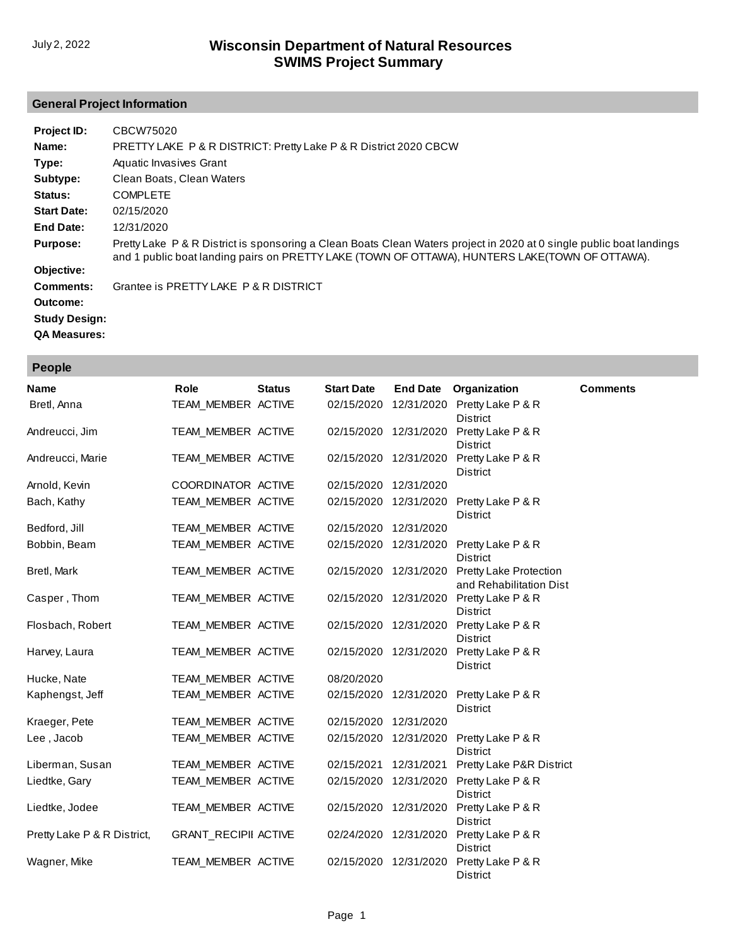## **General Project Information**

| Project ID:          | CBCW75020                                                                                                                                                                                                              |
|----------------------|------------------------------------------------------------------------------------------------------------------------------------------------------------------------------------------------------------------------|
| Name:                | PRETTY LAKE P & R DISTRICT: Pretty Lake P & R District 2020 CBCW                                                                                                                                                       |
| Type:                | Aquatic Invasives Grant                                                                                                                                                                                                |
| Subtype:             | Clean Boats, Clean Waters                                                                                                                                                                                              |
| Status:              | <b>COMPLETE</b>                                                                                                                                                                                                        |
| <b>Start Date:</b>   | 02/15/2020                                                                                                                                                                                                             |
| End Date:            | 12/31/2020                                                                                                                                                                                                             |
| <b>Purpose:</b>      | Pretty Lake P & R District is sponsoring a Clean Boats Clean Waters project in 2020 at 0 single public boat landings<br>and 1 public boat landing pairs on PRETTY LAKE (TOWN OF OTTAWA), HUNTERS LAKE(TOWN OF OTTAWA). |
| Objective:           |                                                                                                                                                                                                                        |
| Comments:            | Grantee is PRETTY LAKE P & R DISTRICT                                                                                                                                                                                  |
| Outcome:             |                                                                                                                                                                                                                        |
| <b>Study Design:</b> |                                                                                                                                                                                                                        |
| <b>QA Measures:</b>  |                                                                                                                                                                                                                        |

| People                      |                             |               |                   |                       |                                                          |                 |
|-----------------------------|-----------------------------|---------------|-------------------|-----------------------|----------------------------------------------------------|-----------------|
| <b>Name</b>                 | <b>Role</b>                 | <b>Status</b> | <b>Start Date</b> | <b>End Date</b>       | Organization                                             | <b>Comments</b> |
| Bretl, Anna                 | TEAM_MEMBER ACTIVE          |               | 02/15/2020        | 12/31/2020            | Pretty Lake P & R<br><b>District</b>                     |                 |
| Andreucci, Jim              | TEAM_MEMBER ACTIVE          |               |                   | 02/15/2020 12/31/2020 | Pretty Lake P & R<br><b>District</b>                     |                 |
| Andreucci, Marie            | TEAM_MEMBER ACTIVE          |               |                   | 02/15/2020 12/31/2020 | Pretty Lake P & R<br><b>District</b>                     |                 |
| Arnold, Kevin               | COORDINATOR ACTIVE          |               | 02/15/2020        | 12/31/2020            |                                                          |                 |
| Bach, Kathy                 | TEAM_MEMBER ACTIVE          |               | 02/15/2020        | 12/31/2020            | Pretty Lake P & R<br>District                            |                 |
| Bedford, Jill               | TEAM_MEMBER ACTIVE          |               | 02/15/2020        | 12/31/2020            |                                                          |                 |
| Bobbin, Beam                | TEAM MEMBER ACTIVE          |               | 02/15/2020        | 12/31/2020            | Pretty Lake P & R<br><b>District</b>                     |                 |
| Bretl, Mark                 | TEAM MEMBER ACTIVE          |               | 02/15/2020        | 12/31/2020            | <b>Pretty Lake Protection</b><br>and Rehabilitation Dist |                 |
| Casper, Thom                | TEAM MEMBER ACTIVE          |               | 02/15/2020        | 12/31/2020            | Pretty Lake P & R<br><b>District</b>                     |                 |
| Flosbach, Robert            | TEAM_MEMBER ACTIVE          |               |                   | 02/15/2020 12/31/2020 | Pretty Lake P & R<br><b>District</b>                     |                 |
| Harvey, Laura               | TEAM_MEMBER ACTIVE          |               |                   | 02/15/2020 12/31/2020 | Pretty Lake P & R<br><b>District</b>                     |                 |
| Hucke, Nate                 | TEAM MEMBER ACTIVE          |               | 08/20/2020        |                       |                                                          |                 |
| Kaphengst, Jeff             | TEAM_MEMBER ACTIVE          |               | 02/15/2020        | 12/31/2020            | Pretty Lake P & R<br><b>District</b>                     |                 |
| Kraeger, Pete               | TEAM_MEMBER ACTIVE          |               | 02/15/2020        | 12/31/2020            |                                                          |                 |
| Lee, Jacob                  | TEAM_MEMBER ACTIVE          |               | 02/15/2020        | 12/31/2020            | Pretty Lake P & R<br><b>District</b>                     |                 |
| Liberman, Susan             | TEAM_MEMBER ACTIVE          |               | 02/15/2021        | 12/31/2021            | Pretty Lake P&R District                                 |                 |
| Liedtke, Gary               | TEAM_MEMBER ACTIVE          |               |                   | 02/15/2020 12/31/2020 | Pretty Lake P & R<br><b>District</b>                     |                 |
| Liedtke, Jodee              | TEAM_MEMBER ACTIVE          |               |                   | 02/15/2020 12/31/2020 | Pretty Lake P & R<br>District                            |                 |
| Pretty Lake P & R District, | <b>GRANT_RECIPII ACTIVE</b> |               | 02/24/2020        | 12/31/2020            | Pretty Lake P & R<br>District                            |                 |
| Wagner, Mike                | TEAM_MEMBER ACTIVE          |               | 02/15/2020        | 12/31/2020            | Pretty Lake P & R<br>District                            |                 |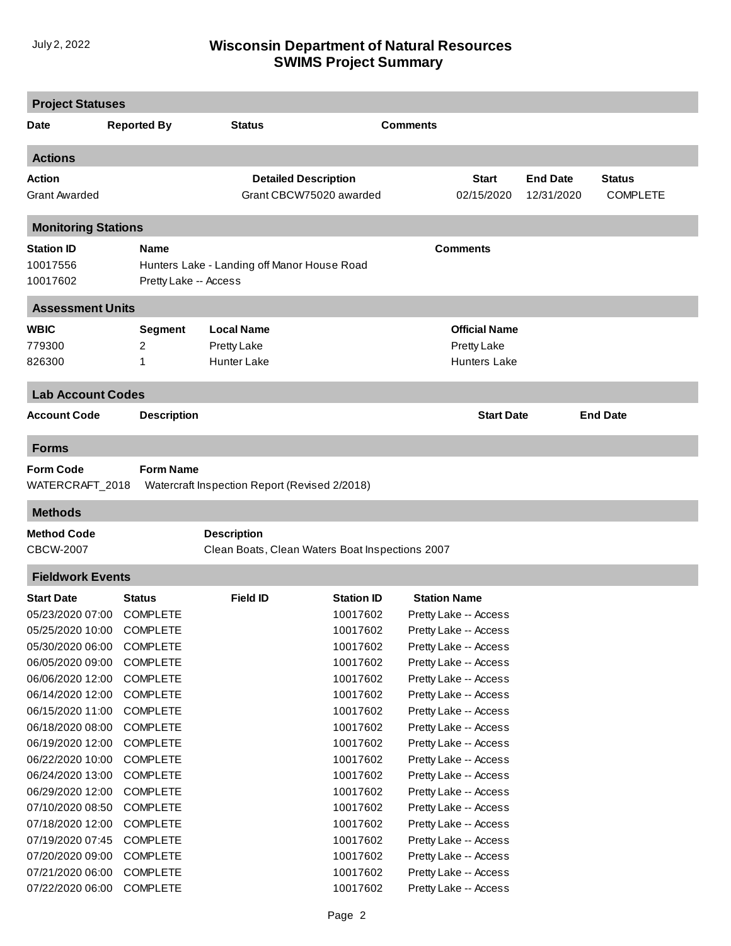## **SWIMS Project Summary** July 2, 2022 **Wisconsin Department of Natural Resources**

| <b>Project Statuses</b>    |                       |                                                 |                             |                 |                       |                 |                 |
|----------------------------|-----------------------|-------------------------------------------------|-----------------------------|-----------------|-----------------------|-----------------|-----------------|
| Date                       | <b>Reported By</b>    | <b>Status</b>                                   |                             | <b>Comments</b> |                       |                 |                 |
| <b>Actions</b>             |                       |                                                 |                             |                 |                       |                 |                 |
| Action                     |                       |                                                 | <b>Detailed Description</b> |                 | <b>Start</b>          | <b>End Date</b> | <b>Status</b>   |
| <b>Grant Awarded</b>       |                       |                                                 | Grant CBCW75020 awarded     |                 | 02/15/2020            | 12/31/2020      | <b>COMPLETE</b> |
| <b>Monitoring Stations</b> |                       |                                                 |                             |                 |                       |                 |                 |
| <b>Station ID</b>          | <b>Name</b>           |                                                 |                             |                 | <b>Comments</b>       |                 |                 |
| 10017556                   |                       | Hunters Lake - Landing off Manor House Road     |                             |                 |                       |                 |                 |
| 10017602                   | Pretty Lake -- Access |                                                 |                             |                 |                       |                 |                 |
| <b>Assessment Units</b>    |                       |                                                 |                             |                 |                       |                 |                 |
| <b>WBIC</b>                | <b>Segment</b>        | <b>Local Name</b>                               |                             |                 | <b>Official Name</b>  |                 |                 |
| 779300                     | 2                     | Pretty Lake                                     |                             |                 | <b>Pretty Lake</b>    |                 |                 |
| 826300                     | 1                     | <b>Hunter Lake</b>                              |                             |                 | <b>Hunters Lake</b>   |                 |                 |
| <b>Lab Account Codes</b>   |                       |                                                 |                             |                 |                       |                 |                 |
| <b>Account Code</b>        | <b>Description</b>    |                                                 |                             |                 | <b>Start Date</b>     |                 | <b>End Date</b> |
| <b>Forms</b>               |                       |                                                 |                             |                 |                       |                 |                 |
| <b>Form Code</b>           | <b>Form Name</b>      |                                                 |                             |                 |                       |                 |                 |
| WATERCRAFT_2018            |                       | Watercraft Inspection Report (Revised 2/2018)   |                             |                 |                       |                 |                 |
| <b>Methods</b>             |                       |                                                 |                             |                 |                       |                 |                 |
| <b>Method Code</b>         |                       | <b>Description</b>                              |                             |                 |                       |                 |                 |
| <b>CBCW-2007</b>           |                       | Clean Boats, Clean Waters Boat Inspections 2007 |                             |                 |                       |                 |                 |
| <b>Fieldwork Events</b>    |                       |                                                 |                             |                 |                       |                 |                 |
| <b>Start Date</b>          | <b>Status</b>         | Field ID                                        | <b>Station ID</b>           |                 | <b>Station Name</b>   |                 |                 |
| 05/23/2020 07:00           | <b>COMPLETE</b>       |                                                 | 10017602                    |                 | Pretty Lake -- Access |                 |                 |
| 05/25/2020 10:00           | <b>COMPLETE</b>       |                                                 | 10017602                    |                 | Pretty Lake -- Access |                 |                 |
| 05/30/2020 06:00           | <b>COMPLETE</b>       |                                                 | 10017602                    |                 | Pretty Lake -- Access |                 |                 |
| 06/05/2020 09:00           | <b>COMPLETE</b>       |                                                 | 10017602                    |                 | Pretty Lake -- Access |                 |                 |
| 06/06/2020 12:00           | <b>COMPLETE</b>       |                                                 | 10017602                    |                 | Pretty Lake -- Access |                 |                 |
| 06/14/2020 12:00           | <b>COMPLETE</b>       |                                                 | 10017602                    |                 | Pretty Lake -- Access |                 |                 |
| 06/15/2020 11:00           | <b>COMPLETE</b>       |                                                 | 10017602                    |                 | Pretty Lake -- Access |                 |                 |
| 06/18/2020 08:00           | <b>COMPLETE</b>       |                                                 | 10017602                    |                 | Pretty Lake -- Access |                 |                 |
| 06/19/2020 12:00           | <b>COMPLETE</b>       |                                                 | 10017602                    |                 | Pretty Lake -- Access |                 |                 |
| 06/22/2020 10:00           | <b>COMPLETE</b>       |                                                 | 10017602                    |                 | Pretty Lake -- Access |                 |                 |
| 06/24/2020 13:00           | <b>COMPLETE</b>       |                                                 | 10017602                    |                 | Pretty Lake -- Access |                 |                 |
| 06/29/2020 12:00           | <b>COMPLETE</b>       |                                                 | 10017602                    |                 | Pretty Lake -- Access |                 |                 |
| 07/10/2020 08:50           | <b>COMPLETE</b>       |                                                 | 10017602                    |                 | Pretty Lake -- Access |                 |                 |
| 07/18/2020 12:00           | <b>COMPLETE</b>       |                                                 | 10017602                    |                 | Pretty Lake -- Access |                 |                 |
| 07/19/2020 07:45           | <b>COMPLETE</b>       |                                                 | 10017602                    |                 | Pretty Lake -- Access |                 |                 |
| 07/20/2020 09:00           | <b>COMPLETE</b>       |                                                 | 10017602                    |                 | Pretty Lake -- Access |                 |                 |
| 07/21/2020 06:00           | <b>COMPLETE</b>       |                                                 | 10017602                    |                 | Pretty Lake -- Access |                 |                 |
| 07/22/2020 06:00           | <b>COMPLETE</b>       |                                                 | 10017602                    |                 | Pretty Lake -- Access |                 |                 |